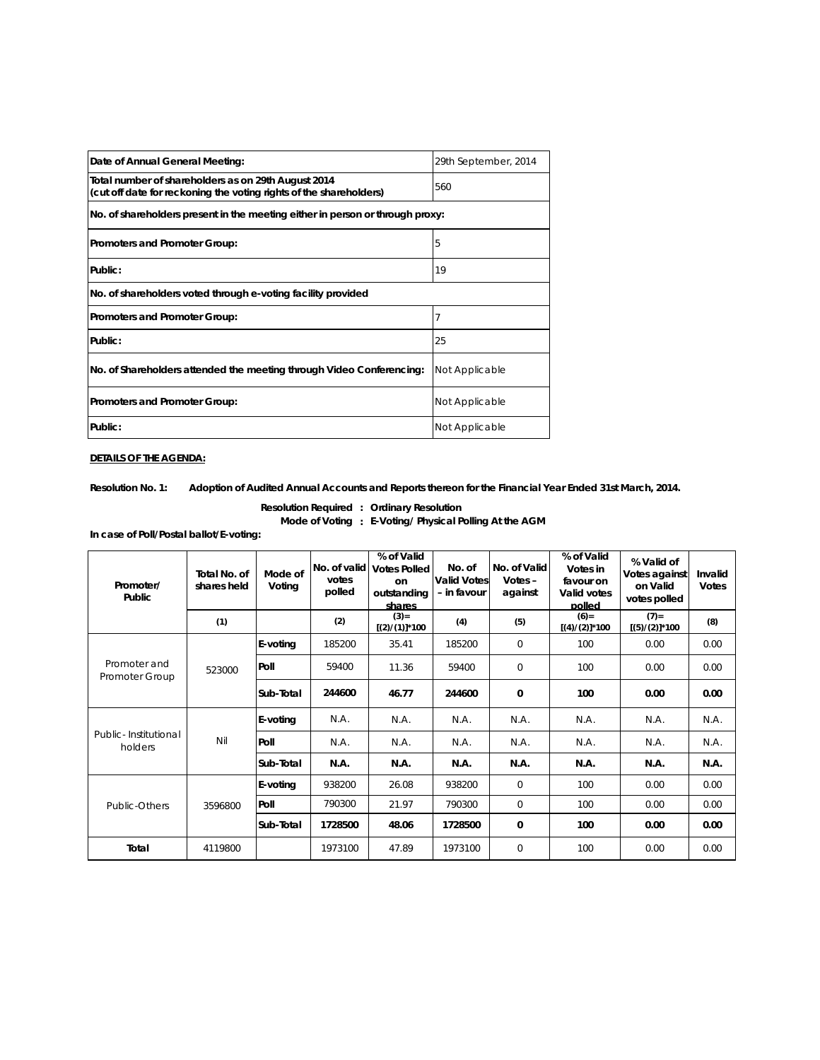| Date of Annual General Meeting:                                                                                           | 29th September, 2014 |  |  |  |  |  |  |  |
|---------------------------------------------------------------------------------------------------------------------------|----------------------|--|--|--|--|--|--|--|
| Total number of shareholders as on 29th August 2014<br>(cut off date for reckoning the voting rights of the shareholders) | 560                  |  |  |  |  |  |  |  |
| No. of shareholders present in the meeting either in person or through proxy:                                             |                      |  |  |  |  |  |  |  |
| Promoters and Promoter Group:                                                                                             | 5                    |  |  |  |  |  |  |  |
| Public:                                                                                                                   | 19                   |  |  |  |  |  |  |  |
| No. of shareholders voted through e-voting facility provided                                                              |                      |  |  |  |  |  |  |  |
| Promoters and Promoter Group:                                                                                             |                      |  |  |  |  |  |  |  |
| Public:                                                                                                                   | 25                   |  |  |  |  |  |  |  |
| No. of Shareholders attended the meeting through Video Conferencing:                                                      | Not Applicable       |  |  |  |  |  |  |  |
| Promoters and Promoter Group:                                                                                             | Not Applicable       |  |  |  |  |  |  |  |
| Public:                                                                                                                   | Not Applicable       |  |  |  |  |  |  |  |

# **DETAILS OF THE AGENDA:**

**Resolution No. 1: Adoption of Audited Annual Accounts and Reports thereon for the Financial Year Ended 31st March, 2014.**

> **Resolution Required : Ordinary Resolution** Mode of Voting : E-Voting/ Physical Polling At the AGM

**In case of Poll/Postal ballot/E-voting:**

| Promoter/<br>Public              | Total No. of<br>shares held | Mode of<br>Voting | No. of valid<br>votes<br>polled | % of Valid<br><b>Votes Polled</b><br>on<br>outstanding<br>shares | No. of<br><b>Valid Votes</b><br>- in favour | No. of Valid<br>Votes $-$<br>against | % of Valid<br>Votes in<br>favour on<br>Valid votes<br>polled | % Valid of<br>Votes against<br>on Valid<br>votes polled | Invalid<br><b>Votes</b> |
|----------------------------------|-----------------------------|-------------------|---------------------------------|------------------------------------------------------------------|---------------------------------------------|--------------------------------------|--------------------------------------------------------------|---------------------------------------------------------|-------------------------|
|                                  | (1)                         |                   | (2)                             | $(3) =$<br>$[(2)/(1)]$ *100                                      | (4)                                         | (5)                                  | $(6)=$<br>$[(4)/(2)]$ *100                                   | $(7) =$<br>$[(5)/(2)]$ *100                             | (8)                     |
|                                  |                             | E-voting          | 185200                          | 35.41                                                            | 185200                                      | $\mathbf{O}$                         | 100                                                          | 0.00                                                    | 0.00                    |
| Promoter and<br>Promoter Group   | 523000                      | Poll              | 59400                           | 11.36                                                            | 59400                                       | 0                                    | 100                                                          | 0.00                                                    | 0.00                    |
|                                  |                             | Sub-Total         | 244600                          | 46.77                                                            | 244600                                      | $\mathbf 0$                          | 100                                                          | 0.00                                                    | 0.00                    |
|                                  | Nil                         | E-voting          | N.A.                            | N.A.                                                             | N.A.                                        | N.A.                                 | N.A.                                                         | N.A.                                                    | N.A.                    |
| Public- Institutional<br>holders |                             | Poll              | N.A.                            | N.A.                                                             | N.A.                                        | N.A.                                 | N.A.                                                         | N.A.                                                    | N.A.                    |
|                                  |                             | Sub-Total         | N.A.                            | N.A.                                                             | N.A.                                        | N.A.                                 | N.A.                                                         | N.A.                                                    | N.A.                    |
|                                  |                             | E-voting          | 938200                          | 26.08                                                            | 938200                                      | $\mathbf{O}$                         | 100                                                          | 0.00                                                    | 0.00                    |
| Public-Others                    | 3596800                     | Poll              | 790300                          | 21.97                                                            | 790300                                      | $\mathbf{O}$                         | 100                                                          | 0.00                                                    | 0.00                    |
|                                  |                             | Sub-Total         | 1728500                         | 48.06                                                            | 1728500                                     | $\mathbf{0}$                         | 100                                                          | 0.00                                                    | 0.00                    |
| Total                            | 4119800                     |                   | 1973100                         | 47.89                                                            | 1973100                                     | 0                                    | 100                                                          | 0.00                                                    | 0.00                    |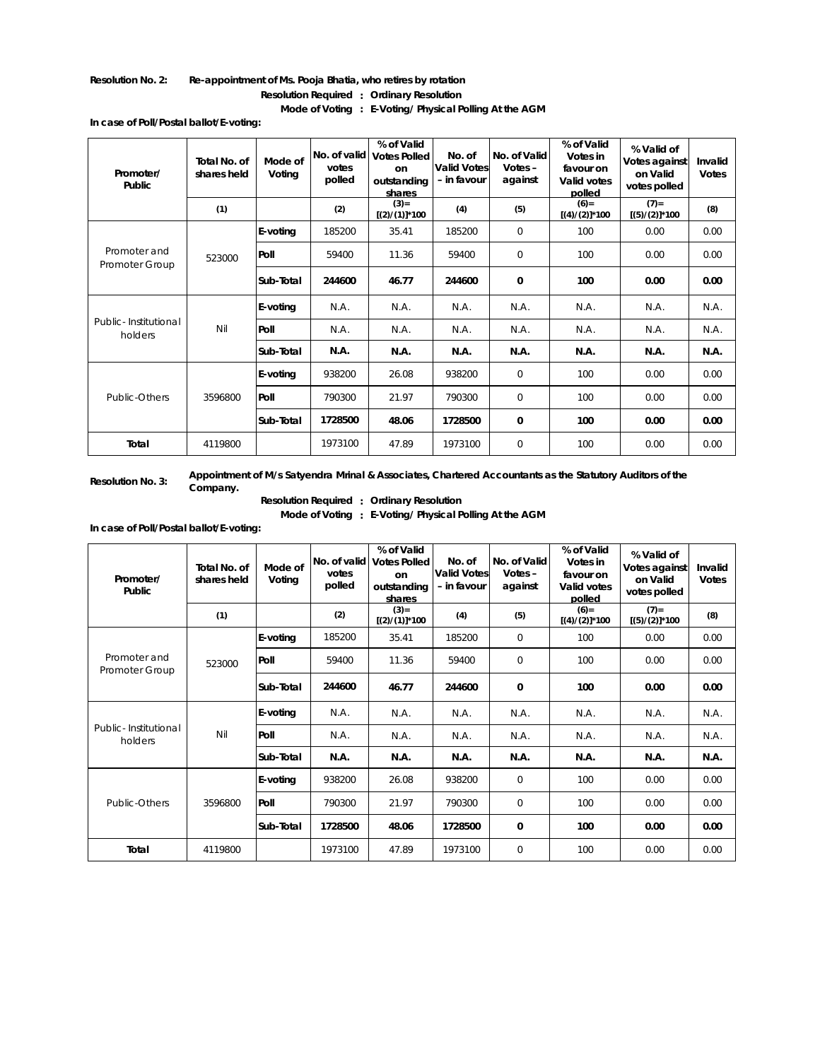#### **Resolution No. 2: : Resolution Required Ordinary Resolution Re-appointment of Ms. Pooja Bhatia, who retires by rotation**

Mode of Voting : E-Voting/ Physical Polling At the AGM

**In case of Poll/Postal ballot/E-voting:**

| Promoter/<br>Public             | Total No. of<br>shares held | Mode of<br>Voting | No. of valid<br>votes<br>polled | % of Valid<br><b>Votes Polled</b><br>on<br>outstanding<br>shares | No. of<br><b>Valid Votes</b><br>- in favour | No. of Valid<br>Votes-<br>against | % of Valid<br>Votes in<br>favour on<br>Valid votes<br>polled | % Valid of<br>Votes against<br>on Valid<br>votes polled | Invalid<br><b>Votes</b> |
|---------------------------------|-----------------------------|-------------------|---------------------------------|------------------------------------------------------------------|---------------------------------------------|-----------------------------------|--------------------------------------------------------------|---------------------------------------------------------|-------------------------|
|                                 | (1)                         |                   | (2)                             | $(3) =$<br>$[(2)/(1)]$ *100                                      | (4)                                         | (5)                               | $(6)=$<br>$[(4)/(2)]$ *100                                   | $(7) =$<br>$[(5)/(2)]$ *100                             | (8)                     |
|                                 |                             | E-voting          | 185200                          | 35.41                                                            | 185200                                      | $\mathbf 0$                       | 100                                                          | 0.00                                                    | 0.00                    |
| Promoter and<br>Promoter Group  | 523000                      | Poll              | 59400                           | 11.36                                                            | 59400                                       | $\mathbf 0$                       | 100                                                          | 0.00                                                    | 0.00                    |
|                                 |                             | Sub-Total         | 244600                          | 46.77                                                            | 244600                                      | 0                                 | 100                                                          | 0.00                                                    | 0.00                    |
|                                 | Nil                         | E-voting          | N.A.                            | N.A.                                                             | N.A.                                        | N.A.                              | N.A.                                                         | N.A.                                                    | N.A.                    |
| Public-Institutional<br>holders |                             | Poll              | N.A.                            | N.A.                                                             | N.A.                                        | N.A.                              | N.A.                                                         | N.A.                                                    | N.A.                    |
|                                 |                             | Sub-Total         | N.A.                            | N.A.                                                             | N.A.                                        | N.A.                              | N.A.                                                         | N.A.                                                    | N.A.                    |
|                                 |                             | E-voting          | 938200                          | 26.08                                                            | 938200                                      | $\mathbf 0$                       | 100                                                          | 0.00                                                    | 0.00                    |
| Public-Others                   | 3596800                     | Poll              | 790300                          | 21.97                                                            | 790300                                      | $\mathbf 0$                       | 100                                                          | 0.00                                                    | 0.00                    |
|                                 |                             | Sub-Total         | 1728500                         | 48.06                                                            | 1728500                                     | $\mathbf{0}$                      | 100                                                          | 0.00                                                    | 0.00                    |
| Total                           | 4119800                     |                   | 1973100                         | 47.89                                                            | 1973100                                     | 0                                 | 100                                                          | 0.00                                                    | 0.00                    |

## **Resolution No. 3:**

**Appointment of M/s Satyendra Mrinal & Associates, Chartered Accountants as the Statutory Auditors of the Company.**

**Resolution Required : Ordinary Resolution** 

Mode of Voting : E-Voting/ Physical Polling At the AGM

**In case of Poll/Postal ballot/E-voting:**

| Promoter/<br>Public             | Total No. of<br>shares held | Mode of<br>Voting | No. of valid<br>votes<br>polled | % of Valid<br><b>Votes Polled</b><br>on<br>outstanding<br>shares | No. of<br><b>Valid Votes</b><br>- in favour | No. of Valid<br>Votes-<br>against | % of Valid<br>Votes in<br>favour on<br>Valid votes<br>polled | % Valid of<br>Votes against<br>on Valid<br>votes polled | Invalid<br><b>Votes</b> |
|---------------------------------|-----------------------------|-------------------|---------------------------------|------------------------------------------------------------------|---------------------------------------------|-----------------------------------|--------------------------------------------------------------|---------------------------------------------------------|-------------------------|
|                                 | (1)                         |                   | (2)                             | $(3) =$<br>$[(2)/(1)]$ *100                                      | (4)                                         | (5)                               | $(6)=$<br>$[(4)/(2)]$ *100                                   | $(7) =$<br>$[(5)/(2)]$ *100                             | (8)                     |
|                                 |                             | E-voting          | 185200                          | 35.41                                                            | 185200                                      | $\mathbf{0}$                      | 100                                                          | 0.00                                                    | 0.00                    |
| Promoter and<br>Promoter Group  | 523000                      | Poll              | 59400                           | 11.36                                                            | 59400                                       | $\mathbf{0}$                      | 100                                                          | 0.00                                                    | 0.00                    |
|                                 |                             | Sub-Total         | 244600                          | 46.77                                                            | 244600                                      | 0                                 | 100                                                          | 0.00                                                    | 0.00                    |
|                                 | Nil                         | E-voting          | N.A.                            | N.A.                                                             | N.A.                                        | N.A.                              | N.A.                                                         | N.A.                                                    | N.A.                    |
| Public-Institutional<br>holders |                             | Poll              | N.A.                            | N.A.                                                             | N.A.                                        | N.A.                              | N.A.                                                         | N.A.                                                    | N.A.                    |
|                                 |                             | Sub-Total         | <b>N.A.</b>                     | <b>N.A.</b>                                                      | <b>N.A.</b>                                 | N.A.                              | N.A.                                                         | N.A.                                                    | N.A.                    |
|                                 |                             | E-voting          | 938200                          | 26.08                                                            | 938200                                      | $\mathbf{0}$                      | 100                                                          | 0.00                                                    | 0.00                    |
| Public-Others                   | 3596800                     | Poll              | 790300                          | 21.97                                                            | 790300                                      | $\mathbf{0}$                      | 100                                                          | 0.00                                                    | 0.00                    |
|                                 |                             | Sub-Total         | 1728500                         | 48.06                                                            | 1728500                                     | 0                                 | 100                                                          | 0.00                                                    | 0.00                    |
| Total                           | 4119800                     |                   | 1973100                         | 47.89                                                            | 1973100                                     | $\mathbf{0}$                      | 100                                                          | 0.00                                                    | 0.00                    |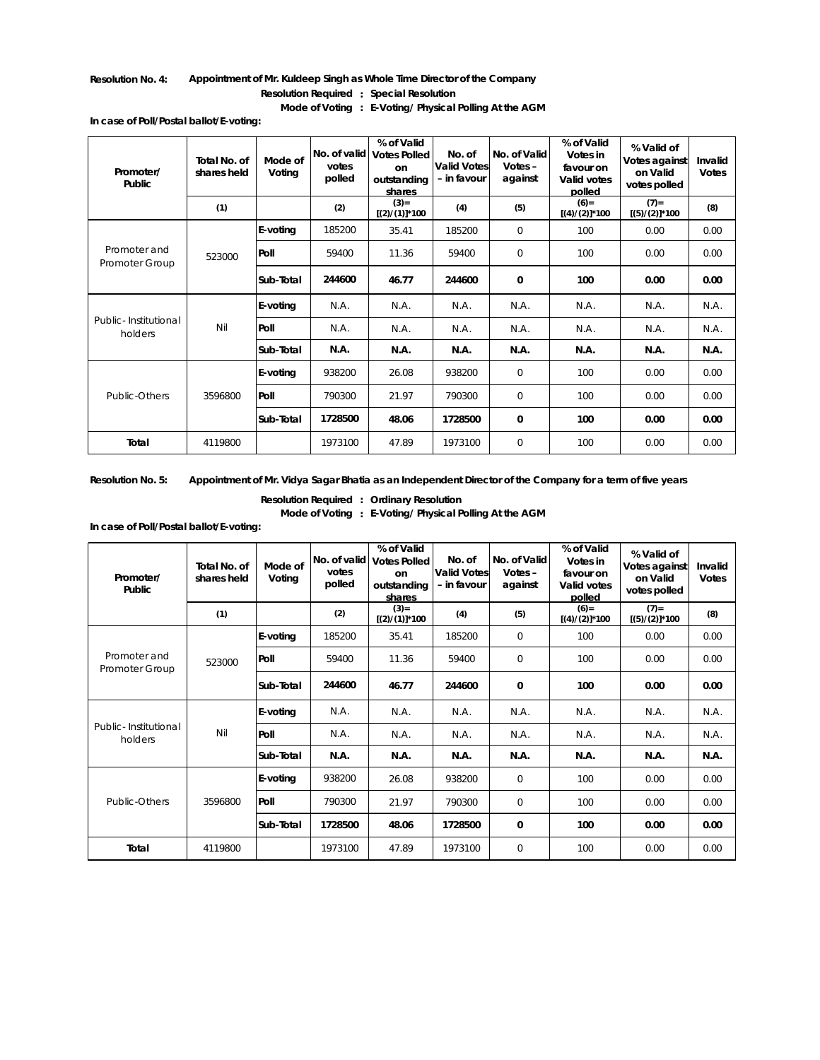### **Resolution No. 4: Resolution Required : Special Resolution Appointment of Mr. Kuldeep Singh as Whole Time Director of the Company**

Mode of Voting : E-Voting/ Physical Polling At the AGM

**In case of Poll/Postal ballot/E-voting:**

| Promoter/<br>Public             | Total No. of<br>shares held | Mode of<br>Voting | No. of valid<br>votes<br>polled | % of Valid<br><b>Votes Polled</b><br>on<br>outstanding<br>shares | No. of<br><b>Valid Votes</b><br>- in favour | No. of Valid<br>Votes-<br>against | % of Valid<br>Votes in<br>favour on<br>Valid votes<br>polled | % Valid of<br>Votes against<br>on Valid<br>votes polled | Invalid<br><b>Votes</b> |
|---------------------------------|-----------------------------|-------------------|---------------------------------|------------------------------------------------------------------|---------------------------------------------|-----------------------------------|--------------------------------------------------------------|---------------------------------------------------------|-------------------------|
|                                 | (1)                         |                   | (2)                             | $(3) =$<br>$[(2)/(1)]$ *100                                      | (4)                                         | (5)                               | $(6)=$<br>$[(4)/(2)]$ *100                                   | $(7) =$<br>$[(5)/(2)]$ *100                             | (8)                     |
|                                 |                             | E-voting          | 185200                          | 35.41                                                            | 185200                                      | $\mathbf{O}$                      | 100                                                          | 0.00                                                    | 0.00                    |
| Promoter and<br>Promoter Group  | 523000                      | Poll              | 59400                           | 11.36                                                            | 59400                                       | $\mathbf 0$                       | 100                                                          | 0.00                                                    | 0.00                    |
|                                 |                             | Sub-Total         | 244600                          | 46.77                                                            | 244600                                      | 0                                 | 100                                                          | 0.00                                                    | 0.00                    |
|                                 | Nil                         | E-voting          | N.A.                            | N.A.                                                             | N.A.                                        | N.A.                              | N.A.                                                         | N.A.                                                    | N.A.                    |
| Public-Institutional<br>holders |                             | Poll              | N.A.                            | N.A.                                                             | N.A.                                        | N.A.                              | N.A.                                                         | N.A.                                                    | N.A.                    |
|                                 |                             | Sub-Total         | N.A.                            | N.A.                                                             | <b>N.A.</b>                                 | <b>N.A.</b>                       | <b>N.A.</b>                                                  | N.A.                                                    | N.A.                    |
|                                 | 3596800                     | E-voting          | 938200                          | 26.08                                                            | 938200                                      | $\mathbf 0$                       | 100                                                          | 0.00                                                    | 0.00                    |
| Public-Others                   |                             | Poll              | 790300                          | 21.97                                                            | 790300                                      | $\mathbf{0}$                      | 100                                                          | 0.00                                                    | 0.00                    |
|                                 |                             | Sub-Total         | 1728500                         | 48.06                                                            | 1728500                                     | 0                                 | 100                                                          | 0.00                                                    | 0.00                    |
| Total                           | 4119800                     |                   | 1973100                         | 47.89                                                            | 1973100                                     | $\mathbf{0}$                      | 100                                                          | 0.00                                                    | 0.00                    |

**Resolution No. 5: Appointment of Mr. Vidya Sagar Bhatia as an Independent Director of the Company for a term of five years**

> **Resolution Required : Ordinary Resolution** Mode of Voting : E-Voting/ Physical Polling At the AGM

**In case of Poll/Postal ballot/E-voting:**

| Promoter/<br>Public             | Total No. of<br>shares held | Mode of<br>Voting | No. of valid<br>votes<br>polled | % of Valid<br><b>Votes Polled</b><br>on<br>outstanding<br>shares | No. of<br><b>Valid Votes</b><br>- in favour | No. of Valid<br>Votes-<br>against | % of Valid<br>Votes in<br>favour on<br>Valid votes<br>polled | % Valid of<br>Votes against<br>on Valid<br>votes polled | Invalid<br><b>Votes</b> |
|---------------------------------|-----------------------------|-------------------|---------------------------------|------------------------------------------------------------------|---------------------------------------------|-----------------------------------|--------------------------------------------------------------|---------------------------------------------------------|-------------------------|
|                                 | (1)                         |                   | (2)                             | $(3) =$<br>$[(2)/(1)]$ *100                                      | (4)                                         | (5)                               | $(6)=$<br>$[(4)/(2)]$ *100                                   | $(7) =$<br>$[(5)/(2)]$ *100                             | (8)                     |
|                                 |                             | E-voting          | 185200                          | 35.41                                                            | 185200                                      | $\mathbf{O}$                      | 100                                                          | 0.00                                                    | 0.00                    |
| Promoter and<br>Promoter Group  | 523000                      | Poll              | 59400                           | 11.36                                                            | 59400                                       | $\mathbf{O}$                      | 100                                                          | 0.00                                                    | 0.00                    |
|                                 |                             | Sub-Total         | 244600                          | 46.77                                                            | 244600                                      | $\mathbf 0$                       | 100                                                          | 0.00                                                    | 0.00                    |
|                                 | Nil                         | E-voting          | N.A.                            | N.A.                                                             | N.A.                                        | N.A.                              | N.A.                                                         | N.A.                                                    | N.A.                    |
| Public-Institutional<br>holders |                             | Poll              | N.A.                            | N.A.                                                             | N.A.                                        | N.A.                              | N.A.                                                         | N.A.                                                    | N.A.                    |
|                                 |                             | Sub-Total         | <b>N.A.</b>                     | N.A.                                                             | <b>N.A.</b>                                 | N.A.                              | N.A.                                                         | <b>N.A.</b>                                             | N.A.                    |
|                                 |                             | E-voting          | 938200                          | 26.08                                                            | 938200                                      | $\mathbf{O}$                      | 100                                                          | 0.00                                                    | 0.00                    |
| Public-Others                   | 3596800                     | Poll              | 790300                          | 21.97                                                            | 790300                                      | $\mathbf{O}$                      | 100                                                          | 0.00                                                    | 0.00                    |
|                                 |                             | Sub-Total         | 1728500                         | 48.06                                                            | 1728500                                     | $\mathbf 0$                       | 100                                                          | 0.00                                                    | 0.00                    |
| Total                           | 4119800                     |                   | 1973100                         | 47.89                                                            | 1973100                                     | $\mathbf{O}$                      | 100                                                          | 0.00                                                    | 0.00                    |